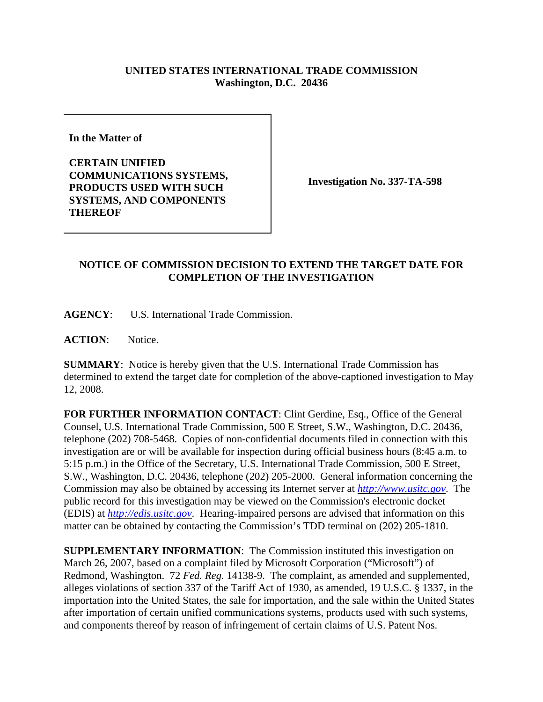## **UNITED STATES INTERNATIONAL TRADE COMMISSION Washington, D.C. 20436**

**In the Matter of** 

**CERTAIN UNIFIED COMMUNICATIONS SYSTEMS, PRODUCTS USED WITH SUCH SYSTEMS, AND COMPONENTS THEREOF**

**Investigation No. 337-TA-598**

## **NOTICE OF COMMISSION DECISION TO EXTEND THE TARGET DATE FOR COMPLETION OF THE INVESTIGATION**

**AGENCY**: U.S. International Trade Commission.

**ACTION**: Notice.

**SUMMARY**: Notice is hereby given that the U.S. International Trade Commission has determined to extend the target date for completion of the above-captioned investigation to May 12, 2008.

**FOR FURTHER INFORMATION CONTACT**: Clint Gerdine, Esq., Office of the General Counsel, U.S. International Trade Commission, 500 E Street, S.W., Washington, D.C. 20436, telephone (202) 708-5468. Copies of non-confidential documents filed in connection with this investigation are or will be available for inspection during official business hours (8:45 a.m. to 5:15 p.m.) in the Office of the Secretary, U.S. International Trade Commission, 500 E Street, S.W., Washington, D.C. 20436, telephone (202) 205-2000. General information concerning the Commission may also be obtained by accessing its Internet server at *http://www.usitc.gov*. The public record for this investigation may be viewed on the Commission's electronic docket (EDIS) at *http://edis.usitc.gov*. Hearing-impaired persons are advised that information on this matter can be obtained by contacting the Commission's TDD terminal on (202) 205-1810.

**SUPPLEMENTARY INFORMATION**: The Commission instituted this investigation on March 26, 2007, based on a complaint filed by Microsoft Corporation ("Microsoft") of Redmond, Washington. 72 *Fed. Reg.* 14138-9. The complaint, as amended and supplemented, alleges violations of section 337 of the Tariff Act of 1930, as amended, 19 U.S.C. § 1337, in the importation into the United States, the sale for importation, and the sale within the United States after importation of certain unified communications systems, products used with such systems, and components thereof by reason of infringement of certain claims of U.S. Patent Nos.